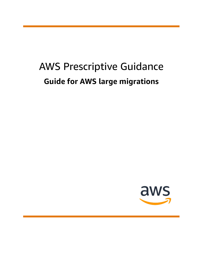# AWS Prescriptive Guidance **Guide for AWS large migrations**

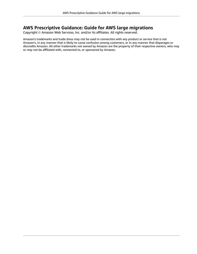#### **AWS Prescriptive Guidance: Guide for AWS large migrations**

Copyright © Amazon Web Services, Inc. and/or its affiliates. All rights reserved.

Amazon's trademarks and trade dress may not be used in connection with any product or service that is not Amazon's, in any manner that is likely to cause confusion among customers, or in any manner that disparages or discredits Amazon. All other trademarks not owned by Amazon are the property of their respective owners, who may or may not be affiliated with, connected to, or sponsored by Amazon.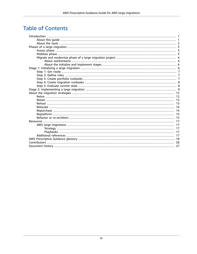### **Table of Contents**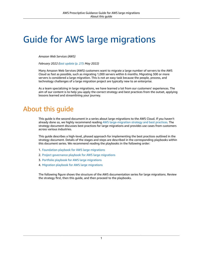# <span id="page-3-0"></span>Guide for AWS large migrations

*Amazon Web Services (AWS)*

*February 2022 ([last update](#page-29-0) (p. [27\)](#page-29-0): May 2022)*

Many Amazon Web Services (AWS) customers want to migrate a large number of servers to the AWS Cloud as fast as possible, such as migrating 1,000 servers within 6 months. Migrating 300 or more servers is considered a large migration. This is not an easy task because the people, process, and technology challenges of a large migration project are typically new to an enterprise.

As a team specializing in large migrations, we have learned a lot from our customers' experiences. The aim of our content is to help you apply the correct strategy and best practices from the outset, applying lessons learned and streamlining your journey.

# <span id="page-3-1"></span>About this guide

This guide is the second document in a series about large migrations to the AWS Cloud. If you haven't already done so, we highly recommend reading AWS [large-migration](https://docs.aws.amazon.com/prescriptive-guidance/latest/strategy-large-scale-migrations/welcome.html) strategy and best practices. The strategy document discusses best practices for large migrations and provides use cases from customers across various industries.

This guide describes a high-level, phased approach for implementing the best practices outlined in the strategy document. Details of the stages and steps are described in the corresponding playbooks within this document series. We recommend reading the playbooks in the following order:

- 1. [Foundation](https://docs.aws.amazon.com/prescriptive-guidance/latest/large-migration-foundation-playbook/welcome.html) playbook for AWS large migrations
- 2. Project [governance](https://docs.aws.amazon.com/prescriptive-guidance/latest/large-migration-governance-playbook/welcome.html) playbook for AWS large migrations
- 3. Portfolio playbook for AWS large [migrations](https://docs.aws.amazon.com/prescriptive-guidance/latest/large-migration-portfolio-playbook/welcome.html)
- 4. Migration playbook for AWS large [migrations](https://docs.aws.amazon.com/prescriptive-guidance/latest/large-migration-migration-playbook/welcome.html)

The following figure shows the structure of the AWS documentation series for large migrations. Review the strategy first, then this guide, and then proceed to the playbooks.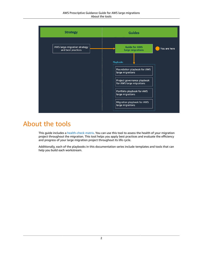#### AWS Prescriptive Guidance Guide for AWS large migrations About the tools



# <span id="page-4-0"></span>About the tools

This guide includes a [health-check matrix.](samples/large-migration-guide-templates.zip) You can use this tool to assess the health of your migration project throughout the migration. This tool helps you apply best practices and evaluate the efficiency and progress of your large migration project throughout its life cycle.

Additionally, each of the playbooks in this documentation series include templates and tools that can help you build each workstream.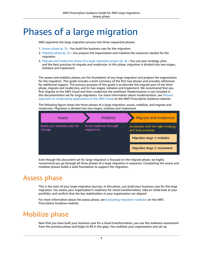# <span id="page-5-0"></span>Phases of a large migration

AWS segments the large migration process into three sequential phases:

- 1. [Assess phase \(p. 3\)](#page-5-1) You build the business case for the migration.
- 2. [Mobilize](#page-5-2) phase [\(p. 3\)](#page-5-2) You prepare the organization and mobilize the resources needed for the migration.
- 3. Migrate and [modernize](#page-6-0) phase of a large migration projec[t \(p. 4\)](#page-6-0) You use your strategy, plan, and the best practices to migrate and modernize. In this phase, migration is divided into two stages, initialize and implement.

The assess and mobilize phases are the foundation of any large migration and prepare the organization for the migration. This guide includes a brief summary of the first two phases and provides references for additional support. The primary purpose of this guide is to describe the migrate part of the third phase, migrate and modernize, and its two stages, initialize and implement. We recommend that you first migrate to the AWS Cloud and then modernize the workload. Modernization is not included in this documentation set for large migrations. For more information about modernization, see [Phased](https://docs.aws.amazon.com/prescriptive-guidance/latest/modernization-phased-approach/welcome.html) approach to [modernizing](https://docs.aws.amazon.com/prescriptive-guidance/latest/modernization-phased-approach/welcome.html) applications in the AWS Cloud on the AWS Prescriptive Guidance website.

The following figure shows the three phases of a large migration: assess, mobilize, and migrate and modernize. Migration is divided into two stages, initialize and implement.



Even though this document set for large migration is focused on the migrate phase, we highly recommend you go through all three phases of a large migration in sequence. Completing the assess and mobilize phases builds a solid foundation to support the migration.

# <span id="page-5-1"></span>Assess phase

This is the start of your large-migration journey. In this phase, you build your business case for the large migration. You assess your organization's readiness for cloud transformation, take an initial look at your portfolio, and confirm that the key stakeholders in your organization are aligned.

For more information about the assess phase, see [Evaluating](https://docs.aws.amazon.com/prescriptive-guidance/latest/migration-readiness/welcome.html) migration readiness on the AWS Prescriptive Guidance website.

### <span id="page-5-2"></span>Mobilize phase

Now that you have built your business case for a cloud transformation, you use the readiness assessment from the previous phase and begin to fill in the gaps. You mobilize your organization and set up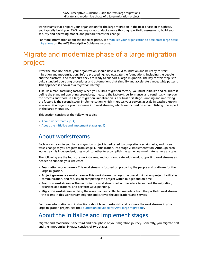workstreams that prepare your organization for the large migration in the next phase. In this phase, you typically build your AWS landing zone, conduct a more thorough portfolio assessment, build your security and operating model, and prepare teams for change.

For more information about the mobilize phase, see Mobilize your [organization](https://docs.aws.amazon.com/prescriptive-guidance/latest/strategy-migration/welcome.html) to accelerate large-scale [migrations](https://docs.aws.amazon.com/prescriptive-guidance/latest/strategy-migration/welcome.html) on the AWS Prescriptive Guidance website.

# <span id="page-6-0"></span>Migrate and modernize phase of a large migration project

After the mobilize phase, your organization should have a solid foundation and be ready to start migration and modernization. Before proceeding, you evaluate the foundations, including the people and the platform, and make sure they are ready to support a large migration. The key for this step is to build standard operating procedures and automations that simplify and accelerate a repeatable pattern. This approach is known as a *migration factory*.

Just like a manufacturing factory, when you build a migration factory, you must initialize and calibrate it, define the standard operating procedures, measure the factory's performance, and continually improve the process and tools. In a large migration, initialization is a critical first stage. Running and improving the factory is the second stage, implementation, which migrates your servers at scale in batches known as waves. You organize your resources into workstreams, which are focused on accomplishing one aspect of the large migration.

This section consists of the following topics:

- About [workstreams \(p. 4\)](#page-6-1)
- About the initialize and [implement](#page-6-2) stage[s \(p. 4\)](#page-6-2)

#### <span id="page-6-1"></span>About workstreams

Each workstream in your large migration project is dedicated to completing certain tasks, and those tasks change as you progress from stage 1, initialization, into stage 2, implementation. Although each workstream is independent, they work together to accomplish the same goal—migrate servers at scale.

The following are the four core workstreams, and you can create additional, supporting workstreams as needed to support your use case:

- **Foundation workstream** This workstream is focused on preparing the people and platform for the large migration.
- **Project governance workstream** This workstream manages the overall migration project, facilitates communication, and focuses on completing the project within budget and on time.
- **Portfolio workstream** The teams in this workstream collect metadata to support the migration, prioritize applications, and perform wave planning.
- **Migration workstream** Using the wave plan and collected metadata from the portfolio workstream, the teams in this workstream migrate and cutover the applications and servers.

For more information and instructions about how to establish and resource the workstreams in your large migration project, see the [Foundation](https://docs.aws.amazon.com/prescriptive-guidance/latest/large-migration-foundation-playbook/welcome.html) playbook for AWS large migrations.

#### <span id="page-6-2"></span>About the initialize and implement stages

Migrate and modernize is the third and final phase of your migration journey. Generally, you migrate first and then modernize. Migrate consists of two stages: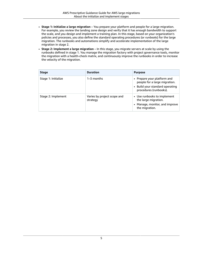- **Stage 1: Initialize a large migration** You prepare your platform and people for a large migration. For example, you review the landing zone design and verify that it has enough bandwidth to support the scale, and you design and implement a training plan. In this stage, based on your organization's policies and processes, you also define the standard operating procedures (or *runbooks*) for the large migration. The runbooks and automations simplify and accelerate implementation of the large migration in stage 2.
- **Stage 2: Implement a large migration** In this stage, you migrate servers at scale by using the runbooks defined in stage 1. You manage the migration factory with project governance tools, monitor the migration with a health-check matrix, and continuously improve the runbooks in order to increase the velocity of the migration.

| <b>Stage</b>        | <b>Duration</b>                         | <b>Purpose</b>                                                                                                            |
|---------------------|-----------------------------------------|---------------------------------------------------------------------------------------------------------------------------|
| Stage 1: Initialize | 1–3 months                              | • Prepare your platform and<br>people for a large migration.<br>• Build your standard operating<br>procedures (runbooks). |
| Stage 2: Implement  | Varies by project scope and<br>strategy | • Use runbooks to implement<br>the large migration.<br>• Manage, monitor, and improve<br>the migration.                   |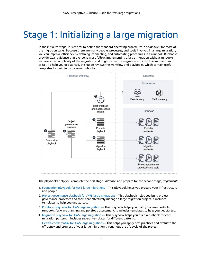# <span id="page-8-0"></span>Stage 1: Initializing a large migration

In the initialize stage, it is critical to define the standard operating procedures, or *runbooks*, for most of the migration tasks. Because there are many people, processes, and tools involved in a large migration, you can improve efficiency by defining, connecting, and automating procedures in a runbook. Runbooks provide clear guidance that everyone must follow. Implementing a large migration without runbooks increases the complexity of the migration and might cause the migration effort to lose momentum or fail. To help you get started, this guide reviews the workflow and playbooks, which contain useful templates for building your own runbooks.



The playbooks help you complete the first stage, *initialize*, and prepare for the second stage, *implement*:

- 1. [Foundation](https://docs.aws.amazon.com/prescriptive-guidance/latest/large-migration-foundation-playbook/welcome.html) playbook for AWS large migrations This playbook helps you prepare your infrastructure and people.
- 2. Project [governance](https://docs.aws.amazon.com/prescriptive-guidance/latest/large-migration-governance-playbook/welcome.html) playbook for AWS large migrations This playbook helps you build project governance processes and tools that effectively manage a large migration project. It includes templates to help you get started.
- 3. Portfolio playbook for AWS large [migrations](https://docs.aws.amazon.com/prescriptive-guidance/latest/large-migration-portfolio-playbook/welcome.html) This playbook helps you build your own portfolio runbooks for wave planning and portfolio assessment. It includes templates to help you get started.
- 4. Migration playbook for AWS large [migrations](https://docs.aws.amazon.com/prescriptive-guidance/latest/large-migration-migration-playbook/welcome.html) This playbook helps you build a runbook for each migration pattern. It includes several templates for different patterns.
- 5. [Health-check](samples/large-migration-guide-templates.zip) matrix for AWS large migrations This helps you apply best practices and evaluate the efficiency and progress of your large migration throughout the life cycle of the project.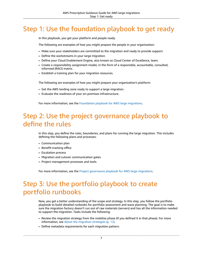# <span id="page-9-0"></span>Step 1: Use the foundation playbook to get ready

In this playbook, you get your platform and people ready.

The following are examples of how you might prepare the people in your organization:

- Make sure your stakeholders are committed to the migration and ready to provide support.
- Define the workstreams in your large migration.
- Define your Cloud Enablement Engine, also known as Cloud Center of Excellence, team.
- Create a responsibility assignment model, in the form of a responsible, accountable, consulted, informed (RACI) matrix.
- Establish a training plan for your migration resources.

The following are examples of how you might prepare your organization's platform:

- Get the AWS landing zone ready to support a large migration.
- Evaluate the readiness of your on-premises infrastructure.

For more information, see the [Foundation](https://docs.aws.amazon.com/prescriptive-guidance/latest/large-migration-foundation-playbook/welcome.html) playbook for AWS large migrations.

### <span id="page-9-1"></span>Step 2: Use the project governance playbook to define the rules

In this step, you define the rules, boundaries, and plans for running the large migration. This includes defining the following plans and processes:

- Communication plan
- Benefit-tracking office
- Escalation process
- Migration and cutover communication gates
- Project management processes and tools

For more information, see the Project [governance](https://docs.aws.amazon.com/prescriptive-guidance/latest/large-migration-governance-playbook/welcome.html) playbook for AWS large migrations.

# <span id="page-9-2"></span>Step 3: Use the portfolio playbook to create portfolio runbooks

Now, you get a better understanding of the scope and strategy. In this step, you follow the portfolio playbook to build detailed runbooks for portfolio assessment and wave planning. The goal is to make sure the migration factory doesn't run out of raw materials (servers) and has all the information needed to support the migration. Tasks include the following:

- Review the migration strategy from the mobilize phase (if you defined it in that phase). For more information, see [About the migration strategies \(p. 12\).](#page-14-0)
- Define metadata requirements for each migration pattern.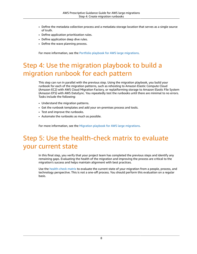- Define the metadata collection process and a metadata storage location that serves as a single source of truth.
- Define application prioritization rules.
- Define application deep dive rules.
- Define the wave planning process.

For more information, see the Portfolio playbook for AWS large [migrations.](https://docs.aws.amazon.com/prescriptive-guidance/latest/large-migration-portfolio-playbook/welcome.html)

# <span id="page-10-0"></span>Step 4: Use the migration playbook to build a migration runbook for each pattern

This step can run in parallel with the previous step. Using the migration playbook, you build your runbook for each of the migration patterns, such as rehosting to Amazon Elastic Compute Cloud (Amazon EC2) with AWS Cloud Migration Factory, or replatforming storage to Amazon Elastic File System (Amazon EFS) with AWS DataSync. You repeatedly test the runbooks until there are minimal to no errors. Tasks include the following:

- Understand the migration patterns.
- Get the runbook templates and add your on-premises process and tools.
- Test and improve the runbooks.
- Automate the runbooks as much as possible.

For more information, see the Migration playbook for AWS large [migrations.](https://docs.aws.amazon.com/prescriptive-guidance/latest/large-migration-migration-playbook/welcome.html)

# <span id="page-10-1"></span>Step 5: Use the health-check matrix to evaluate your current state

In this final step, you verify that your project team has completed the previous steps and identify any remaining gaps. Evaluating the health of the migration and improving the process are critical to the migration's success and helps maintain alignment with best practices.

Use the [health-check matrix](samples/large-migration-guide-templates.zip) to evaluate the current state of your migration from a people, process, and technology perspective. This is not a one-off process. You should perform this evaluation on a regular basis.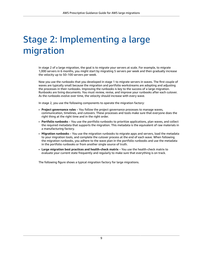# <span id="page-11-0"></span>Stage 2: Implementing a large migration

In stage 2 of a large migration, the goal is to migrate your servers at scale. For example, to migrate 1,000 servers in 6 months, you might start by migrating 5 servers per week and then gradually increase the velocity up to 50–100 servers per week.

Now you use the runbooks that you developed in stage 1 to migrate servers in waves. The first couple of waves are typically small because the migration and portfolio workstreams are adopting and adjusting the processes in their runbooks. Improving the runbooks is key to the success of a large migration. Runbooks are living documents. You must review, revise, and improve your runbooks after each cutover. As the runbooks evolve over time, the velocity should increase with every wave.

In stage 2, you use the following components to operate the migration factory:

- **Project governance rules** You follow the project governance processes to manage waves, communication, timelines, and cutovers. These processes and tools make sure that everyone does the right thing at the right time and in the right order.
- **Portfolio runbooks** You use the portfolio runbooks to prioritize applications, plan waves, and collect the required metadata that supports the migration. This metadata is the equivalent of raw materials in a manufacturing factory.
- **Migration runbooks** You use the migration runbooks to migrate apps and servers, load the metadata to your migration tools, and complete the cutover process at the end of each wave. When following the migration runbooks, you adhere to the wave plan in the portfolio runbooks and use the metadata in the portfolio runbooks or from another single source of truth.
- **Large migration best practices and health-check matrix** You use the health-check matrix to evaluate your current state frequently and regularly to make sure that everything is on track.

The following figure shows a typical migration factory for large migrations.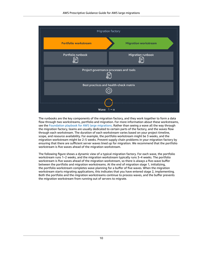

The runbooks are the key components of the migration factory, and they work together to form a data flow through two workstreams, portfolio and migration. For more information about these workstreams, see the [Foundation](https://docs.aws.amazon.com/prescriptive-guidance/latest/large-migration-foundation-playbook/welcome.html) playbook for AWS large migrations. Rather than seeing a wave all the way through the migration factory, teams are usually dedicated to certain parts of the factory, and the waves flow through each workstream. The duration of each workstream varies based on your project timeline, scope, and resource availability. For example, the portfolio workstream might be 3 weeks, and the migration workstream might be 2–5 weeks. Prevent supply chain problems in your migration factory by ensuring that there are sufficient server waves lined up for migration. We recommend that the portfolio workstream is five waves ahead of the migration workstream.

The following figure shows a dynamic view of a typical migration factory. For each wave, the portfolio workstream runs 1–2 weeks, and the migration workstream typically runs 3–4 weeks. The portfolio workstream is five waves ahead of the migration workstream, so there is always a five-wave buffer between the portfolio and migration workstreams. At the end of migration stage 1, initializing, the portfolio workstream completes wave planning for a buffer of five waves. When the migration workstream starts migrating applications, this indicates that you have entered stage 2, implementing. Both the portfolio and the migration workstreams continue to process waves, and the buffer prevents the migration workstream from running out of servers to migrate.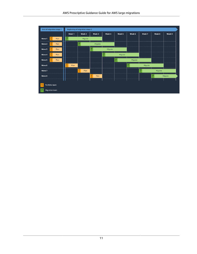|        |                | <b>End of migration stage 1</b> |               |        | <b>Beginning of migration stage 2</b> |               |         |               |               |                             |               |                    |              |
|--------|----------------|---------------------------------|---------------|--------|---------------------------------------|---------------|---------|---------------|---------------|-----------------------------|---------------|--------------------|--------------|
|        |                |                                 |               | Week 1 | Week 2                                |               | Week 3  | Week 4        | Week 5        | Week 6                      | Week 7        | Week 8             | Week 9       |
| Wave 1 |                | Plan                            | M             |        | Migrate                               |               |         |               |               |                             |               |                    |              |
| Wave 2 |                | Plan                            |               |        | $\frac{M}{T}$                         |               | Migrate |               |               |                             |               |                    |              |
| Wave 3 |                | Plan                            |               |        |                                       | $\frac{M}{T}$ |         | Migrate       |               |                             |               |                    |              |
| Wave 4 |                | Plan                            |               |        |                                       |               |         | $\frac{M}{T}$ | Migrate       |                             |               |                    |              |
| Wave 5 |                | Plan                            |               |        |                                       |               |         |               | $\frac{M}{T}$ | Migrate                     |               |                    |              |
| Wave 6 |                |                                 | $\frac{P}{T}$ | Plan   |                                       |               |         |               |               | ----------<br>$\frac{M}{T}$ | Migrate       |                    |              |
| Wave 7 |                |                                 |               |        | $\frac{P}{T}$<br>Plan                 |               |         |               |               |                             | $\frac{M}{T}$ | .<br>Migrate       |              |
| Wave 8 |                |                                 |               |        |                                       | $\frac{P}{T}$ | Plan    |               |               |                             | ---------     | .<br>$\frac{M}{T}$ | .<br>Migrate |
|        |                |                                 |               |        |                                       |               |         |               |               |                             |               |                    |              |
| Ļ      | Portfolio team |                                 |               |        |                                       |               |         |               |               |                             |               |                    |              |
| 푸      |                | <b>Migration team</b>           |               |        |                                       |               |         |               |               |                             |               |                    |              |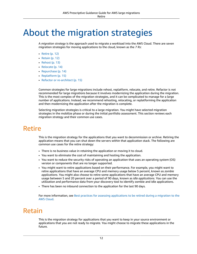# <span id="page-14-0"></span>About the migration strategies

A *migration strategy* is the approach used to migrate a workload into the AWS Cloud. There are seven migration strategies for moving applications to the cloud, known as the *7 Rs*:

- [Retire \(p. 12\)](#page-14-1)
- [Retain \(p. 12\)](#page-14-2)
- [Rehost \(p. 13\)](#page-15-0)
- [Relocate \(p. 14\)](#page-16-0)
- [Repurchase \(p. 14\)](#page-16-1)
- [Replatform \(p. 15\)](#page-17-0)
- Refactor or [re-architect \(p. 15\)](#page-17-1)

Common strategies for large migrations include rehost, replatform, relocate, and retire. Refactor is not recommended for large migrations because it involves modernizing the application during the migration. This is the most complex of the migration strategies, and it can be complicated to manage for a large number of applications. Instead, we recommend rehosting, relocating, or replatforming the application and then modernizing the application after the migration is complete.

Selecting migration strategies is critical to a large migration. You might have selected migration strategies in the mobilize phase or during the initial portfolio assessment. This section reviews each migration strategy and their common use cases.

#### <span id="page-14-1"></span>Retire

This is the migration strategy for the applications that you want to decommission or archive. Retiring the application means that you can shut down the servers within that application stack. The following are common use cases for the retire strategy:

- There is no business value in retaining the application or moving it to cloud.
- You want to eliminate the cost of maintaining and hosting the application.
- You want to reduce the security risks of operating an application that uses an operating system (OS) version or components that are no longer supported.
- You might want to retire applications based on their performance. For example, you might want to retire applications that have an average CPU and memory usage below 5 percent, known as *zombie applications*. You might also choose to retire some applications that have an average CPU and memory usage between 5 and 20 percent over a period of 90 days, known as *idle applications*. You can use the utilization and performance data from your discovery tool to identify zombie and idle applications.
- There has been no inbound connection to the application for the last 90 days.

For more information, see Best practices for assessing [applications](https://docs.aws.amazon.com/prescriptive-guidance/latest/migration-retiring-applications/welcome.html) to be retired during a migration to the AWS [Cloud.](https://docs.aws.amazon.com/prescriptive-guidance/latest/migration-retiring-applications/welcome.html)

#### <span id="page-14-2"></span>Retain

This is the migration strategy for applications that you want to keep in your source environment or applications that you are not ready to migrate. You might choose to migrate these applications in the future.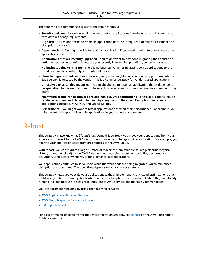The following are common use cases for the retain strategy:

- **Security and compliance** You might want to retain applications in order to remain in compliance with data residency requirements.
- **High risk** You might decide to retain an application because it requires a detailed assessment and plan prior to migration.
- **Dependencies** You might decide to retain an application if you need to migrate one or more other applications first.
- **Applications that are recently upgraded** You might want to postpone migrating the application until the next technical refresh because you recently invested in upgrading your current system.
- **No business value to migrate** There is no business value for migrating some applications to the cloud, such as those with only a few internal users.
- **Plans to migrate to software as a service (SaaS)** You might choose retain an application until the SaaS version is released by the vendor. This is a common strategy for vendor-based applications.
- **Unresolved physical dependencies** You might choose to retain an application that is dependent on specialized hardware that does not have a cloud equivalent, such as machines in a manufacturing plant.
- **Mainframe or mid-range applications and non-x86 Unix applications** These applications require careful assessment and planning before migrating them to the cloud. Examples of mid-range applications include IBM AS/400 and Oracle Solaris.
- **Performance** You might want to retain applications based on their performance. For example, you might want to keep zombie or idle applications in your source environment.

# <span id="page-15-0"></span>Rehost

This strategy is also known as *lift and shift*. Using this strategy, you move your applications from your source environment to the AWS Cloud without making any changes to the application. For example, you migrate your application stack from on-premises to the AWS Cloud.

With rehost, you can migrate a large number of machines from multiple source platforms (physical, virtual, or another cloud) to the AWS Cloud without worrying about compatibility, performance disruption, long cutover windows, or long-distance data replications.

Your application continues to serve users while the workloads are being migrated, which minimizes disruption and downtime. The downtime depends on your cutover strategy.

This strategy helps you to scale your applications without implementing any cloud optimizations that could save you time or money. Applications are easier to optimize or re-architect when they are already running in cloud because it is easier to integrate to AWS services and manage your workloads.

You can automate rehosting by using the following services:

- AWS [Application](http://aws.amazon.com/application-migration-service/when-to-choose-aws-mgn/) Migration Service
- AWS Cloud [Migration](http://aws.amazon.com/solutions/implementations/aws-cloudendure-migration-factory-solution/) Factory Solution
- VM [Import/Export](http://aws.amazon.com/ec2/vm-import/)

For a list of migration patterns for the rehost migration strategy, see [Rehost](https://docs.aws.amazon.com/prescriptive-guidance/latest/patterns/migration-rehost-pattern-list.html) on the AWS Prescriptive Guidance website.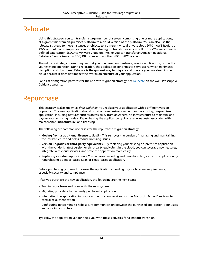### <span id="page-16-0"></span>Relocate

Using this strategy, you can transfer a large number of servers, comprising one or more applications, at a given time from on-premises platform to a cloud version of the platform. You can also use the relocate strategy to move instances or objects to a different virtual private cloud (VPC), AWS Region, or AWS account. For example, you can use this strategy to transfer servers in bulk from VMware softwaredefined data center (SSDC) to VMware Cloud on AWS, or you can transfer an Amazon Relational Database Service (Amazon RDS) DB instance to another VPC or AWS account.

The relocate strategy doesn't require that you purchase new hardware, rewrite applications, or modify your existing operation. During relocation, the application continues to serve users, which minimizes disruption and downtime. Relocate is the quickest way to migrate and operate your workload in the cloud because it does not impact the overall architecture of your application.

For a list of migration patterns for the relocate migration strategy, see [Relocate](https://docs.aws.amazon.com/prescriptive-guidance/latest/patterns/migration-relocate-pattern-list.html) on the AWS Prescriptive Guidance website.

#### <span id="page-16-1"></span>Repurchase

This strategy is also known as *drop and shop*. You replace your application with a different version or product. The new application should provide more business value than the existing, on-premises application, including features such as accessibility from anywhere, no infrastructure to maintain, and pay-as-you-go pricing models. Repurchasing the application typically reduces costs associated with maintenance, infrastructure, and licensing.

The following are common use cases for the repurchase migration strategy:

- **Moving from a traditional license to SaaS** This removes the burden of managing and maintaining the infrastructure and helps reduce licensing issues.
- **Version upgrades or third-party equivalents** By replacing your existing on-premises application with the vendor's latest version or third-party equivalent in the cloud, you can leverage new features, integrate with cloud services, and scale the application more easily.
- **Replacing a custom application** You can avoid recoding and re-architecting a custom application by repurchasing a vendor-based SaaS or cloud-based application.

Before purchasing, you need to assess the application according to your business requirements, especially security and compliance.

After you purchase the new application, the following are the next steps:

- Training your team and users with the new system
- Migrating your data to the newly purchased application
- Integrating the application into your authentication services, such as Microsoft Active Directory, to centralize authentication
- Configuring networking to help secure communication between the purchased application, your users, and your infrastructure

Typically, the application vendor helps you with these activities for a smooth transition.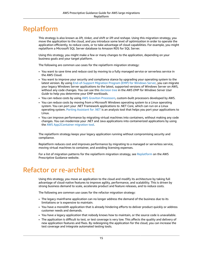## <span id="page-17-0"></span>Replatform

This strategy is also known as *lift, tinker, and shift* or *lift and reshape*. Using this migration strategy, you move the application to the cloud, and you introduce some level of optimization in order to operate the application efficiently, to reduce costs, or to take advantage of cloud capabilities. For example, you might replatform a Microsoft SQL Server database to Amazon RDS for SQL Server.

Using this strategy, you might make a few or many changes to the application, depending on your business goals and your target platform.

The following are common use cases for the replatform migration strategy:

- You want to save time and reduce cost by moving to a fully managed service or serverless service in the AWS Cloud.
- You want to improve your security and compliance stance by upgrading your operating system to the latest version. By using [End-of-Support](http://aws.amazon.com/emp-windows-server/) Migration Program (EMP) for Windows Server, you can migrate your legacy Windows Server applications to the latest, supported versions of Windows Server on AWS, without any code changes. You can use this [decision](https://docs.aws.amazon.com/emp/latest/userguide/emp-decision-tree.html) tree in the *AWS EMP for Windows Server User Guide* to help you determine your EMP workloads.
- You can reduce costs by using AWS Graviton [Processors,](http://aws.amazon.com/ec2/graviton/) custom-built processors developed by AWS.
- You can reduce costs by moving from a Microsoft Windows operating system to a Linux operating system. You can port your .NET Framework applications to .NET Core, which can run on a Linux operating system. Porting [Assistant](http://aws.amazon.com/porting-assistant-dotnet/) for .NET is an analysis tool that helps you port your applications to Linux.
- You can improve performance by migrating virtual machines into containers, without making any code changes. You can modernize your .NET and Java applications into containerized applications by using the AWS [App2Container](http://aws.amazon.com/app2container/) migration tool.

The replatform strategy keeps your legacy application running without compromising security and compliance.

Replatform reduces cost and improves performance by migrating to a managed or serverless service, moving virtual machines to container, and avoiding licensing expenses.

For a list of migration patterns for the replatform migration strategy, see [Replatform](https://docs.aws.amazon.com/prescriptive-guidance/latest/patterns/migration-replatform-pattern-list.html) on the AWS Prescriptive Guidance website.

### <span id="page-17-1"></span>Refactor or re-architect

Using this strategy, you move an application to the cloud and modify its architecture by taking full advantage of cloud-native features to improve agility, performance, and scalability. This is driven by strong business demand to scale, accelerate product and feature releases, and to reduce costs.

The following are common use cases for the refactor migration strategy:

- The legacy mainframe application can no longer address the demand of the business due to its limitations or is expensive to maintain.
- You have a monolith application that is already hindering efforts to deliver product quickly or address customer needs and demands.
- You have a legacy application that nobody knows how to maintain, or the source code is unavailable.
- The application is difficult to test, or test coverage is very low. This affects the quality and delivery of new application features and fixes. By redesigning the application for the cloud, you can increase the test coverage and integrate automated testing tools.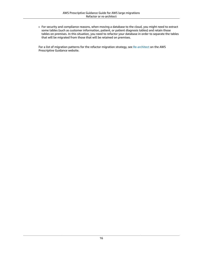• For security and compliance reasons, when moving a database to the cloud, you might need to extract some tables (such as customer information, patient, or patient diagnosis tables) and retain those tables on premises. In this situation, you need to refactor your database in order to separate the tables that will be migrated from those that will be retained on premises.

For a list of migration patterns for the refactor migration strategy, see [Re-architect](https://docs.aws.amazon.com/prescriptive-guidance/latest/patterns/migration-rearchitect-pattern-list.html) on the AWS Prescriptive Guidance website.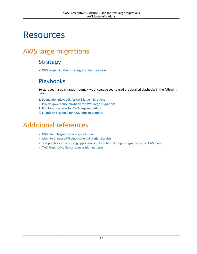# <span id="page-19-0"></span>**Resources**

# <span id="page-19-2"></span><span id="page-19-1"></span>AWS large migrations

#### **Strategy**

• AWS [large-migration](https://docs.aws.amazon.com/prescriptive-guidance/latest/strategy-large-scale-migrations/welcome.html) strategy and best practices

### <span id="page-19-3"></span>Playbooks

To start your large migration journey, we encourage you to read the detailed playbooks in the following order:

- 1. [Foundation](https://docs.aws.amazon.com/prescriptive-guidance/latest/large-migration-foundation-playbook/welcome.html) playbook for AWS large migrations
- 2. Project [governance](https://docs.aws.amazon.com/prescriptive-guidance/latest/large-migration-governance-playbook/welcome.html) playbook for AWS large migrations
- 3. Portfolio playbook for AWS large [migrations](https://docs.aws.amazon.com/prescriptive-guidance/latest/large-migration-portfolio-playbook/welcome.html)
- 4. Migration playbook for AWS large [migrations](https://docs.aws.amazon.com/prescriptive-guidance/latest/large-migration-migration-playbook/welcome.html)

## <span id="page-19-4"></span>Additional references

- AWS Cloud [Migration](http://aws.amazon.com/solutions/implementations/aws-cloudendure-migration-factory-solution/) Factory Solution
- When to Choose AWS [Application](http://aws.amazon.com/application-migration-service/when-to-choose-aws-mgn/) Migration Service
- Best practices for assessing [applications](https://docs.aws.amazon.com/prescriptive-guidance/latest/migration-retiring-applications/welcome.html) to be retired during a migration to the AWS Cloud
- AWS [Prescriptive](https://docs.aws.amazon.com/prescriptive-guidance/latest/patterns/migration-pattern-list.html) Guidance migration patterns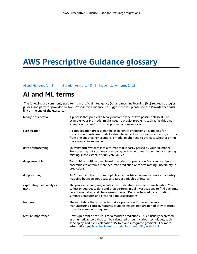# <span id="page-20-0"></span>**AWS Prescriptive Guidance glossary**

[AI and ML terms \(p. 18\)](#page-20-1) | [Migration terms \(p. 19\)](#page-21-0) | [Modernization terms \(p. 23\)](#page-25-0)

# **AI and ML terms**

<span id="page-20-1"></span>The following are commonly used terms in artificial intelligence (AI) and machine learning (ML)-related strategies, guides, and patterns provided by AWS Prescriptive Guidance. To suggest entries, please use the **Provide feedback** link at the end of the glossary.

| binary classification              | A process that predicts a binary outcome (one of two possible classes). For<br>example, your ML model might need to predict problems such as "Is this email<br>spam or not spam?" or "Is this product a book or a car?"                                                                                               |
|------------------------------------|-----------------------------------------------------------------------------------------------------------------------------------------------------------------------------------------------------------------------------------------------------------------------------------------------------------------------|
| classification                     | A categorization process that helps generate predictions. ML models for<br>classification problems predict a discrete value. Discrete values are always distinct<br>from one another. For example, a model might need to evaluate whether or not<br>there is a car in an image.                                       |
| data preprocessing                 | To transform raw data into a format that is easily parsed by your ML model.<br>Preprocessing data can mean removing certain columns or rows and addressing<br>missing, inconsistent, or duplicate values.                                                                                                             |
| deep ensemble                      | To combine multiple deep learning models for prediction. You can use deep<br>ensembles to obtain a more accurate prediction or for estimating uncertainty in<br>predictions.                                                                                                                                          |
| deep learning                      | An ML subfield that uses multiple layers of artificial neural networks to identify<br>mapping between input data and target variables of interest.                                                                                                                                                                    |
| exploratory data analysis<br>(EDA) | The process of analyzing a dataset to understand its main characteristics. You<br>collect or aggregate data and then perform initial investigations to find patterns,<br>detect anomalies, and check assumptions. EDA is performed by calculating<br>summary statistics and creating data visualizations.             |
| features                           | The input data that you use to make a prediction. For example, in a<br>manufacturing context, features could be images that are periodically captured<br>from the manufacturing line.                                                                                                                                 |
| feature importance                 | How significant a feature is for a model's predictions. This is usually expressed<br>as a numerical score that can be calculated through various techniques, such<br>as Shapley Additive Explanations (SHAP) and integrated gradients. For more<br>information, see Machine learning model interpretability with AWS. |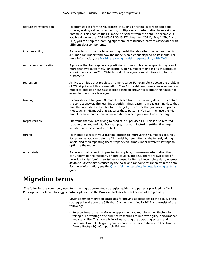| feature transformation    | To optimize data for the ML process, including enriching data with additional<br>sources, scaling values, or extracting multiple sets of information from a single<br>data field. This enables the ML model to benefit from the data. For example, if<br>you break down the "2021-05-27 00:15:37" date into "2021", "May", "Thu", and<br>"15", you can help the learning algorithm learn nuanced patterns associated with<br>different data components. |
|---------------------------|---------------------------------------------------------------------------------------------------------------------------------------------------------------------------------------------------------------------------------------------------------------------------------------------------------------------------------------------------------------------------------------------------------------------------------------------------------|
| interpretability          | A characteristic of a machine learning model that describes the degree to which<br>a human can understand how the model's predictions depend on its inputs. For<br>more information, see Machine learning model interpretability with AWS.                                                                                                                                                                                                              |
| multiclass classification | A process that helps generate predictions for multiple classes (predicting one of<br>more than two outcomes). For example, an ML model might ask "Is this product<br>a book, car, or phone?" or "Which product category is most interesting to this<br>customer?"                                                                                                                                                                                       |
| regression                | An ML technique that predicts a numeric value. For example, to solve the problem<br>of "What price will this house sell for?" an ML model could use a linear regression<br>model to predict a house's sale price based on known facts about the house (for<br>example, the square footage).                                                                                                                                                             |
| training                  | To provide data for your ML model to learn from. The training data must contain<br>the correct answer. The learning algorithm finds patterns in the training data that<br>map the input data attributes to the target (the answer that you want to predict).<br>It outputs an ML model that captures these patterns. You can then use the ML<br>model to make predictions on new data for which you don't know the target.                              |
| target variable           | The value that you are trying to predict in supervised ML. This is also referred<br>to as an outcome variable. For example, in a manufacturing setting the target<br>variable could be a product defect.                                                                                                                                                                                                                                                |
| tuning                    | To change aspects of your training process to improve the ML model's accuracy.<br>For example, you can train the ML model by generating a labeling set, adding<br>labels, and then repeating these steps several times under different settings to<br>optimize the model.                                                                                                                                                                               |
| uncertainty               | A concept that refers to imprecise, incomplete, or unknown information that<br>can undermine the reliability of predictive ML models. There are two types of<br>uncertainty: Epistemic uncertainty is caused by limited, incomplete data, whereas<br>aleatoric uncertainty is caused by the noise and randomness inherent in the data.<br>For more information, see the Quantifying uncertainty in deep learning systems<br>guide.                      |

# **Migration terms**

<span id="page-21-0"></span>The following are commonly used terms in migration-related strategies, guides, and patterns provided by AWS Prescriptive Guidance. To suggest entries, please use the **Provide feedback** link at the end of the glossary.

<span id="page-21-1"></span>

7 Rs Seven common migration strategies for moving applications to the cloud. These strategies build upon the 5 Rs that Gartner identified in 2011 and consist of the following:

> • Refactor/re-architect – Move an application and modify its architecture by taking full advantage of cloud-native features to improve agility, performance, and scalability. This typically involves porting the operating system and database. Example: Migrate your on-premises Oracle database to the Amazon Aurora PostgreSQL-Compatible Edition.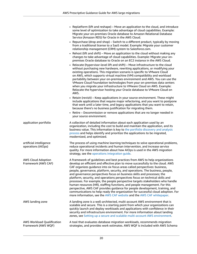|                                                   | • Replatform (lift and reshape) – Move an application to the cloud, and introduce<br>some level of optimization to take advantage of cloud capabilities. Example:<br>Migrate your on-premises Oracle database to Amazon Relational Database<br>Service (Amazon RDS) for Oracle in the AWS Cloud.                                                                                                                                                                                                                                                                                                                                                                                                                                                                                                                                                                                                     |
|---------------------------------------------------|------------------------------------------------------------------------------------------------------------------------------------------------------------------------------------------------------------------------------------------------------------------------------------------------------------------------------------------------------------------------------------------------------------------------------------------------------------------------------------------------------------------------------------------------------------------------------------------------------------------------------------------------------------------------------------------------------------------------------------------------------------------------------------------------------------------------------------------------------------------------------------------------------|
|                                                   | • Repurchase (drop and shop) – Switch to a different product, typically by moving<br>from a traditional license to a SaaS model. Example: Migrate your customer<br>relationship management (CRM) system to Salesforce.com.                                                                                                                                                                                                                                                                                                                                                                                                                                                                                                                                                                                                                                                                           |
|                                                   | • Rehost (lift and shift) – Move an application to the cloud without making any<br>changes to take advantage of cloud capabilities. Example: Migrate your on-<br>premises Oracle database to Oracle on an EC2 instance in the AWS Cloud.                                                                                                                                                                                                                                                                                                                                                                                                                                                                                                                                                                                                                                                             |
|                                                   | • Relocate (hypervisor-level lift and shift) - Move infrastructure to the cloud<br>without purchasing new hardware, rewriting applications, or modifying your<br>existing operations. This migration scenario is specific to VMware Cloud<br>on AWS, which supports virtual machine (VM) compatibility and workload<br>portability between your on-premises environment and AWS. You can use the<br>VMware Cloud Foundation technologies from your on-premises data centers<br>when you migrate your infrastructure to VMware Cloud on AWS. Example:<br>Relocate the hypervisor hosting your Oracle database to VMware Cloud on<br>AWS.                                                                                                                                                                                                                                                              |
|                                                   | • Retain (revisit) - Keep applications in your source environment. These might<br>include applications that require major refactoring, and you want to postpone<br>that work until a later time, and legacy applications that you want to retain,<br>because there's no business justification for migrating them.                                                                                                                                                                                                                                                                                                                                                                                                                                                                                                                                                                                   |
|                                                   | • Retire - Decommission or remove applications that are no longer needed in<br>your source environment.                                                                                                                                                                                                                                                                                                                                                                                                                                                                                                                                                                                                                                                                                                                                                                                              |
| application portfolio                             | A collection of detailed information about each application used by an<br>organization, including the cost to build and maintain the application, and its<br>business value. This information is key to the portfolio discovery and analysis<br>process and helps identify and prioritize the applications to be migrated,<br>modernized, and optimized.                                                                                                                                                                                                                                                                                                                                                                                                                                                                                                                                             |
| artificial intelligence<br>operations (AIOps)     | The process of using machine learning techniques to solve operational problems,<br>reduce operational incidents and human intervention, and increase service<br>quality. For more information about how AIOps is used in the AWS migration<br>strategy, see the operations integration guide.                                                                                                                                                                                                                                                                                                                                                                                                                                                                                                                                                                                                        |
| <b>AWS Cloud Adoption</b><br>Framework (AWS CAF)  | A framework of guidelines and best practices from AWS to help organizations<br>develop an efficient and effective plan to move successfully to the cloud. AWS<br>CAF organizes guidance into six focus areas called perspectives: business,<br>people, governance, platform, security, and operations. The business, people,<br>and governance perspectives focus on business skills and processes; the<br>platform, security, and operations perspectives focus on technical skills and<br>processes. For example, the people perspective targets stakeholders who handle<br>human resources (HR), staffing functions, and people management. For this<br>perspective, AWS CAF provides guidance for people development, training, and<br>communications to help ready the organization for successful cloud adoption. For<br>more information, see the AWS CAF website and the AWS CAF whitepaper. |
| AWS landing zone                                  | A landing zone is a well-architected, multi-account AWS environment that is<br>scalable and secure. This is a starting point from which your organizations can<br>quickly launch and deploy workloads and applications with confidence in their<br>security and infrastructure environment. For more information about landing<br>zones, see Setting up a secure and scalable multi-account AWS environment.                                                                                                                                                                                                                                                                                                                                                                                                                                                                                         |
| AWS Workload Qualification<br>Framework (AWS WQF) | A tool that evaluates database migration workloads, recommends migration<br>strategies, and provides work estimates. AWS WQF is included with AWS Schema                                                                                                                                                                                                                                                                                                                                                                                                                                                                                                                                                                                                                                                                                                                                             |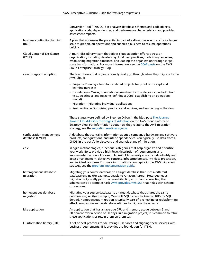|                                             | Conversion Tool (AWS SCT). It analyzes database schemas and code objects,<br>application code, dependencies, and performance characteristics, and provides<br>assessment reports.                                                                                                                                                                                                                                                                                 |
|---------------------------------------------|-------------------------------------------------------------------------------------------------------------------------------------------------------------------------------------------------------------------------------------------------------------------------------------------------------------------------------------------------------------------------------------------------------------------------------------------------------------------|
| business continuity planning<br>(BCP)       | A plan that addresses the potential impact of a disruptive event, such as a large-<br>scale migration, on operations and enables a business to resume operations<br>quickly.                                                                                                                                                                                                                                                                                      |
| Cloud Center of Excellence<br>(CCoE)        | A multi-disciplinary team that drives cloud adoption efforts across an<br>organization, including developing cloud best practices, mobilizing resources,<br>establishing migration timelines, and leading the organization through large-<br>scale transformations. For more information, see the CCoE posts on the AWS<br>Cloud Enterprise Strategy Blog.                                                                                                        |
| cloud stages of adoption                    | The four phases that organizations typically go through when they migrate to the<br>AWS Cloud:                                                                                                                                                                                                                                                                                                                                                                    |
|                                             | • Project - Running a few cloud-related projects for proof of concept and<br>learning purposes                                                                                                                                                                                                                                                                                                                                                                    |
|                                             | • Foundation - Making foundational investments to scale your cloud adoption<br>(e.g., creating a landing zone, defining a CCoE, establishing an operations<br>model)                                                                                                                                                                                                                                                                                              |
|                                             | • Migration - Migrating individual applications                                                                                                                                                                                                                                                                                                                                                                                                                   |
|                                             | • Re-invention - Optimizing products and services, and innovating in the cloud                                                                                                                                                                                                                                                                                                                                                                                    |
|                                             | These stages were defined by Stephen Orban in the blog post The Journey<br>Toward Cloud-First & the Stages of Adoption on the AWS Cloud Enterprise<br>Strategy blog. For information about how they relate to the AWS migration<br>strategy, see the migration readiness guide.                                                                                                                                                                                   |
| configuration management<br>database (CMDB) | A database that contains information about a company's hardware and software<br>products, configurations, and inter-dependencies. You typically use data from a<br>CMDB in the portfolio discovery and analysis stage of migration.                                                                                                                                                                                                                               |
| epic                                        | In agile methodologies, functional categories that help organize and prioritize<br>your work. Epics provide a high-level description of requirements and<br>implementation tasks. For example, AWS CAF security epics include identity and<br>access management, detective controls, infrastructure security, data protection,<br>and incident response. For more information about epics in the AWS migration<br>strategy, see the program implementation guide. |
| heterogeneous database<br>migration         | Migrating your source database to a target database that uses a different<br>database engine (for example, Oracle to Amazon Aurora). Heterogeneous<br>migration is typically part of a re-architecting effort, and converting the<br>schema can be a complex task. AWS provides AWS SCT that helps with schema<br>conversions.                                                                                                                                    |
| homogeneous database<br>migration           | Migrating your source database to a target database that shares the same<br>database engine (for example, Microsoft SQL Server to Amazon RDS for SQL<br>Server). Homogeneous migration is typically part of a rehosting or replatforming<br>effort. You can use native database utilities to migrate the schema.                                                                                                                                                  |
| idle application                            | An application that has an average CPU and memory usage between 5 and<br>20 percent over a period of 90 days. In a migration project, it is common to retire<br>these applications or retain them on premises.                                                                                                                                                                                                                                                    |
| IT information library (ITIL)               | A set of best practices for delivering IT services and aligning these services with<br>business requirements. ITIL provides the foundation for ITSM.                                                                                                                                                                                                                                                                                                              |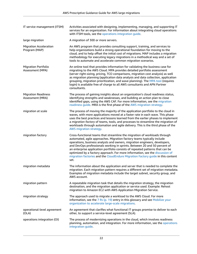| IT service management (ITSM)                   | Activities associated with designing, implementing, managing, and supporting IT<br>services for an organization. For information about integrating cloud operations<br>with ITSM tools, see the operations integration guide.                                                                                                                                                                                                                                                                                                                                              |
|------------------------------------------------|----------------------------------------------------------------------------------------------------------------------------------------------------------------------------------------------------------------------------------------------------------------------------------------------------------------------------------------------------------------------------------------------------------------------------------------------------------------------------------------------------------------------------------------------------------------------------|
| large migration                                | A migration of 300 or more servers.                                                                                                                                                                                                                                                                                                                                                                                                                                                                                                                                        |
| <b>Migration Acceleration</b><br>Program (MAP) | An AWS program that provides consulting support, training, and services to<br>help organizations build a strong operational foundation for moving to the<br>cloud, and to help offset the initial cost of migrations. MAP includes a migration<br>methodology for executing legacy migrations in a methodical way and a set of<br>tools to automate and accelerate common migration scenarios.                                                                                                                                                                             |
| <b>Migration Portfolio</b><br>Assessment (MPA) | An online tool that provides information for validating the business case for<br>migrating to the AWS Cloud. MPA provides detailed portfolio assessment<br>(server right-sizing, pricing, TCO comparisons, migration cost analysis) as well<br>as migration planning (application data analysis and data collection, application<br>grouping, migration prioritization, and wave planning). The MPA tool (requires<br>login) is available free of charge to all AWS consultants and APN Partner<br>consultants.                                                            |
| <b>Migration Readiness</b><br>Assessment (MRA) | The process of gaining insights about an organization's cloud readiness status,<br>identifying strengths and weaknesses, and building an action plan to close<br>identified gaps, using the AWS CAF. For more information, see the migration<br>readiness guide. MRA is the first phase of the AWS migration strategy.                                                                                                                                                                                                                                                     |
| migration at scale                             | The process of moving the majority of the application portfolio to the cloud in<br>waves, with more applications moved at a faster rate in each wave. This phase<br>uses the best practices and lessons learned from the earlier phases to implement<br>a migration factory of teams, tools, and processes to streamline the migration of<br>workloads through automation and agile delivery. This is the third phase of the<br>AWS migration strategy.                                                                                                                    |
| migration factory                              | Cross-functional teams that streamline the migration of workloads through<br>automated, agile approaches. Migration factory teams typically include<br>operations, business analysts and owners, migration engineers, developers,<br>and DevOps professionals working in sprints. Between 20 and 50 percent of<br>an enterprise application portfolio consists of repeated patterns that can be<br>optimized by a factory approach. For more information, see the discussion of<br>migration factories and the CloudEndure Migration Factory guide in this content<br>set. |
| migration metadata                             | The information about the application and server that is needed to complete the<br>migration. Each migration pattern requires a different set of migration metadata.<br>Examples of migration metadata include the target subnet, security group, and<br>AWS account.                                                                                                                                                                                                                                                                                                      |
| migration pattern                              | A repeatable migration task that details the migration strategy, the migration<br>destination, and the migration application or service used. Example: Rehost<br>migration to Amazon EC2 with AWS Application Migration Service.                                                                                                                                                                                                                                                                                                                                           |
| migration strategy                             | The approach used to migrate a workload to the AWS Cloud. For more<br>information, see the $7$ Rs (p. 19) entry in this glossary and see Mobilize your<br>organization to accelerate large-scale migrations.                                                                                                                                                                                                                                                                                                                                                               |
| operational-level agreement<br>(OLA)           | An agreement that clarifies what functional IT groups promise to deliver to each<br>other, to support a service-level agreement (SLA).                                                                                                                                                                                                                                                                                                                                                                                                                                     |
| operations integration (OI)                    | The process of modernizing operations in the cloud, which involves readiness<br>planning, automation, and integration. For more information, see the operations<br>integration guide.                                                                                                                                                                                                                                                                                                                                                                                      |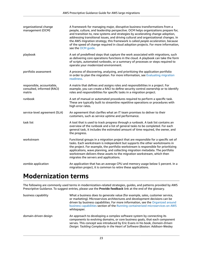| organizational change<br>management (OCM)                         | A framework for managing major, disruptive business transformations from a<br>people, culture, and leadership perspective. OCM helps organizations prepare for,<br>and transition to, new systems and strategies by accelerating change adoption,<br>addressing transitional issues, and driving cultural and organizational changes. In<br>the AWS migration strategy, this framework is called people acceleration, because<br>of the speed of change required in cloud adoption projects. For more information,<br>see the OCM guide. |
|-------------------------------------------------------------------|------------------------------------------------------------------------------------------------------------------------------------------------------------------------------------------------------------------------------------------------------------------------------------------------------------------------------------------------------------------------------------------------------------------------------------------------------------------------------------------------------------------------------------------|
| playbook                                                          | A set of predefined steps that capture the work associated with migrations, such<br>as delivering core operations functions in the cloud. A playbook can take the form<br>of scripts, automated runbooks, or a summary of processes or steps required to<br>operate your modernized environment.                                                                                                                                                                                                                                         |
| portfolio assessment                                              | A process of discovering, analyzing, and prioritizing the application portfolio<br>in order to plan the migration. For more information, see Evaluating migration<br>readiness.                                                                                                                                                                                                                                                                                                                                                          |
| responsible, accountable,<br>consulted, informed (RACI)<br>matrix | A matrix that defines and assigns roles and responsibilities in a project. For<br>example, you can create a RACI to define security control ownership or to identify<br>roles and responsibilities for specific tasks in a migration project.                                                                                                                                                                                                                                                                                            |
| runbook                                                           | A set of manual or automated procedures required to perform a specific task.<br>These are typically built to streamline repetitive operations or procedures with<br>high error rates.                                                                                                                                                                                                                                                                                                                                                    |
| service-level agreement (SLA)                                     | An agreement that clarifies what an IT team promises to deliver to their<br>customers, such as service uptime and performance.                                                                                                                                                                                                                                                                                                                                                                                                           |
| task list                                                         | A tool that is used to track progress through a runbook. A task list contains an<br>overview of the runbook and a list of general tasks to be completed. For each<br>general task, it includes the estimated amount of time required, the owner, and<br>the progress.                                                                                                                                                                                                                                                                    |
| workstream                                                        | Functional groups in a migration project that are responsible for a specific set of<br>tasks. Each workstream is independent but supports the other workstreams in<br>the project. For example, the portfolio workstream is responsible for prioritizing<br>applications, wave planning, and collecting migration metadata. The portfolio<br>workstream delivers these assets to the migration workstream, which then<br>migrates the servers and applications.                                                                          |
| zombie application                                                | An application that has an average CPU and memory usage below 5 percent. In a<br>migration project, it is common to retire these applications.                                                                                                                                                                                                                                                                                                                                                                                           |

# **Modernization terms**

<span id="page-25-0"></span>The following are commonly used terms in modernization-related strategies, guides, and patterns provided by AWS Prescriptive Guidance. To suggest entries, please use the **Provide feedback** link at the end of the glossary.

| business capability  | What a business does to generate value (for example, sales, customer service,<br>or marketing). Microservices architectures and development decisions can be<br>driven by business capabilities. For more information, see the Organized around<br>business capabilities section of the Running containerized microservices on AWS<br>whitepaper. |
|----------------------|---------------------------------------------------------------------------------------------------------------------------------------------------------------------------------------------------------------------------------------------------------------------------------------------------------------------------------------------------|
| domain-driven design | An approach to developing a complex software system by connecting its<br>components to evolving domains, or core business goals, that each component<br>serves. This concept was introduced by Eric Evans in his book, Domain-Driven<br>Design: Tackling Complexity in the Heart of Software (Boston: Addison-Wesley                              |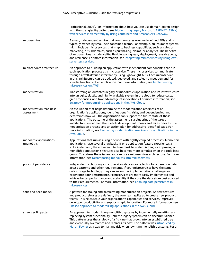|                                        | Professional, 2003). For information about how you can use domain-driven design<br>with the strangler fig pattern, see Modernizing legacy Microsoft ASP.NET (ASMX)<br>web services incrementally by using containers and Amazon API Gateway.                                                                                                                                                                                                                                                                                                                                                 |
|----------------------------------------|----------------------------------------------------------------------------------------------------------------------------------------------------------------------------------------------------------------------------------------------------------------------------------------------------------------------------------------------------------------------------------------------------------------------------------------------------------------------------------------------------------------------------------------------------------------------------------------------|
| microservice                           | A small, independent service that communicates over well-defined APIs and is<br>typically owned by small, self-contained teams. For example, an insurance system<br>might include microservices that map to business capabilities, such as sales or<br>marketing, or subdomains, such as purchasing, claims, or analytics. The benefits<br>of microservices include agility, flexible scaling, easy deployment, reusable code,<br>and resilience. For more information, see Integrating microservices by using AWS<br>serverless services.                                                   |
| microservices architecture             | An approach to building an application with independent components that run<br>each application process as a microservice. These microservices communicate<br>through a well-defined interface by using lightweight APIs. Each microservice<br>in this architecture can be updated, deployed, and scaled to meet demand for<br>specific functions of an application. For more information, see Implementing<br>microservices on AWS.                                                                                                                                                         |
| modernization                          | Transforming an outdated (legacy or monolithic) application and its infrastructure<br>into an agile, elastic, and highly available system in the cloud to reduce costs,<br>gain efficiencies, and take advantage of innovations. For more information, see<br>Strategy for modernizing applications in the AWS Cloud.                                                                                                                                                                                                                                                                        |
| modernization readiness<br>assessment  | An evaluation that helps determine the modernization readiness of an<br>organization's applications; identifies benefits, risks, and dependencies; and<br>determines how well the organization can support the future state of those<br>applications. The outcome of the assessment is a blueprint of the target<br>architecture, a roadmap that details development phases and milestones for the<br>modernization process, and an action plan for addressing identified gaps. For<br>more information, see Evaluating modernization readiness for applications in the<br><b>AWS Cloud.</b> |
| monolithic applications<br>(monoliths) | Applications that run as a single service with tightly coupled processes. Monolithic<br>applications have several drawbacks. If one application feature experiences a<br>spike in demand, the entire architecture must be scaled. Adding or improving a<br>monolithic application's features also becomes more complex when the code base<br>grows. To address these issues, you can use a microservices architecture. For more<br>information, see Decomposing monoliths into microservices.                                                                                                |
| polyglot persistence                   | Independently choosing a microservice's data storage technology based on data<br>access patterns and other requirements. If your microservices have the same<br>data storage technology, they can encounter implementation challenges or<br>experience poor performance. Microservices are more easily implemented and<br>achieve better performance and scalability if they use the data store best adapted<br>to their requirements. For more information, see Enabling data persistence in<br>microservices.                                                                              |
| split-and-seed model                   | A pattern for scaling and accelerating modernization projects. As new features<br>and product releases are defined, the core team splits up to create new product<br>teams. This helps scale your organization's capabilities and services, improves<br>developer productivity, and supports rapid innovation. For more information, see<br>Phased approach to modernizing applications in the AWS Cloud.                                                                                                                                                                                    |
| strangler fig pattern                  | An approach to modernizing monolithic systems by incrementally rewriting and<br>replacing system functionality until the legacy system can be decommissioned.<br>This pattern uses the analogy of a fig vine that grows into an established tree<br>and eventually overcomes and replaces its host. The pattern was introduced by<br>Martin Fowler as a way to manage risk when rewriting monolithic systems. For an                                                                                                                                                                         |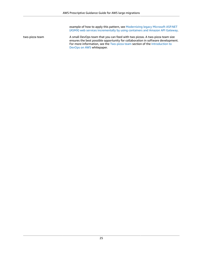example of how to apply this pattern, see [Modernizing](https://docs.aws.amazon.com/prescriptive-guidance/latest/modernization-aspnet-web-services/) legacy Microsoft ASP.NET (ASMX) web services [incrementally](https://docs.aws.amazon.com/prescriptive-guidance/latest/modernization-aspnet-web-services/) by using containers and Amazon API Gateway.

two-pizza team A small DevOps team that you can feed with two pizzas. A two-pizza team size ensures the best possible opportunity for collaboration in software development. For more information, see the [Two-pizza](https://docs.aws.amazon.com/whitepapers/latest/introduction-devops-aws/two-pizza-teams.html) team section of the [Introduction](https://docs.aws.amazon.com/whitepapers/latest/introduction-devops-aws/welcome.html) to [DevOps](https://docs.aws.amazon.com/whitepapers/latest/introduction-devops-aws/welcome.html) on AWS whitepaper.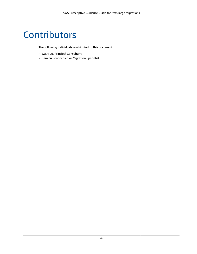# <span id="page-28-0"></span>**Contributors**

The following individuals contributed to this document:

- Wally Lu, Principal Consultant
- Damien Renner, Senior Migration Specialist